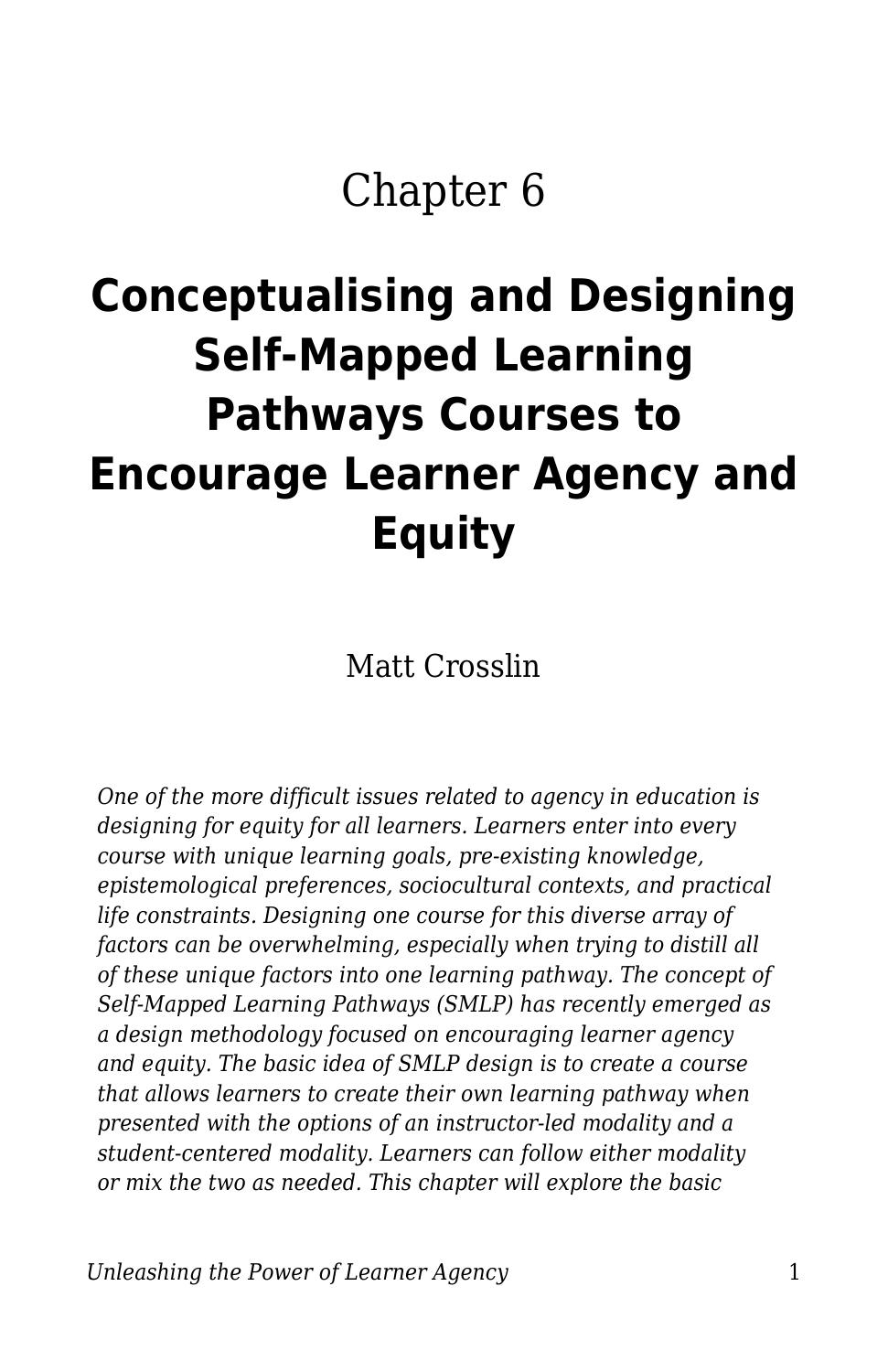## Chapter 6

# **Conceptualising and Designing Self-Mapped Learning Pathways Courses to Encourage Learner Agency and Equity**

Matt Crosslin

*One of the more difficult issues related to agency in education is designing for equity for all learners. Learners enter into every course with unique learning goals, pre-existing knowledge, epistemological preferences, sociocultural contexts, and practical life constraints. Designing one course for this diverse array of factors can be overwhelming, especially when trying to distill all of these unique factors into one learning pathway. The concept of Self-Mapped Learning Pathways (SMLP) has recently emerged as a design methodology focused on encouraging learner agency and equity. The basic idea of SMLP design is to create a course that allows learners to create their own learning pathway when presented with the options of an instructor-led modality and a student-centered modality. Learners can follow either modality or mix the two as needed. This chapter will explore the basic*

*Unleashing the Power of Learner Agency* 1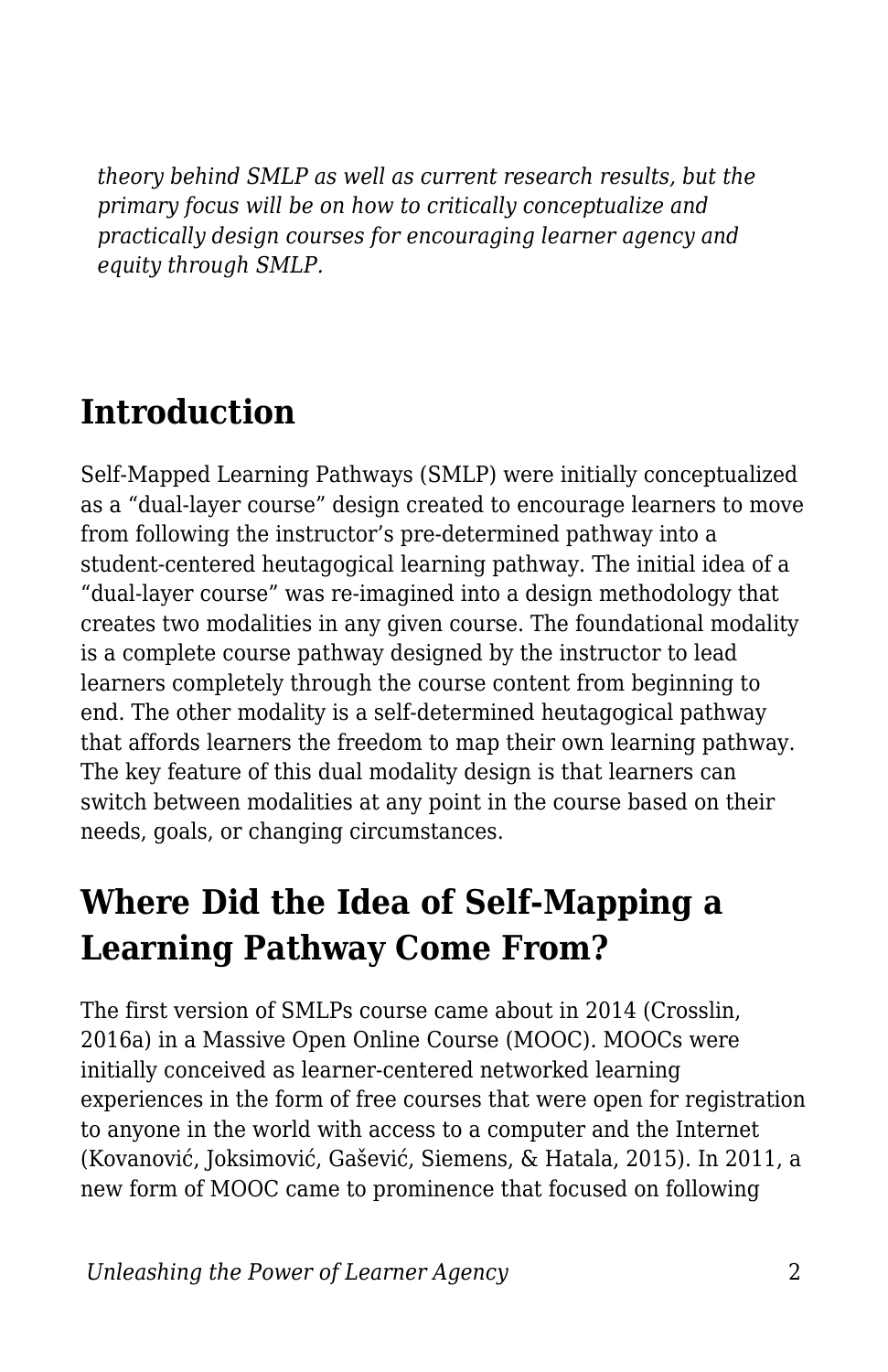*theory behind SMLP as well as current research results, but the primary focus will be on how to critically conceptualize and practically design courses for encouraging learner agency and equity through SMLP.*

### **Introduction**

Self-Mapped Learning Pathways (SMLP) were initially conceptualized as a "dual-layer course" design created to encourage learners to move from following the instructor's pre-determined pathway into a student-centered heutagogical learning pathway. The initial idea of a "dual-layer course" was re-imagined into a design methodology that creates two modalities in any given course. The foundational modality is a complete course pathway designed by the instructor to lead learners completely through the course content from beginning to end. The other modality is a self-determined heutagogical pathway that affords learners the freedom to map their own learning pathway. The key feature of this dual modality design is that learners can switch between modalities at any point in the course based on their needs, goals, or changing circumstances.

### **Where Did the Idea of Self-Mapping a Learning Pathway Come From?**

The first version of SMLPs course came about in 2014 (Crosslin, 2016a) in a Massive Open Online Course (MOOC). MOOCs were initially conceived as learner-centered networked learning experiences in the form of free courses that were open for registration to anyone in the world with access to a computer and the Internet (Kovanović, Joksimović, Gašević, Siemens, & Hatala, 2015). In 2011, a new form of MOOC came to prominence that focused on following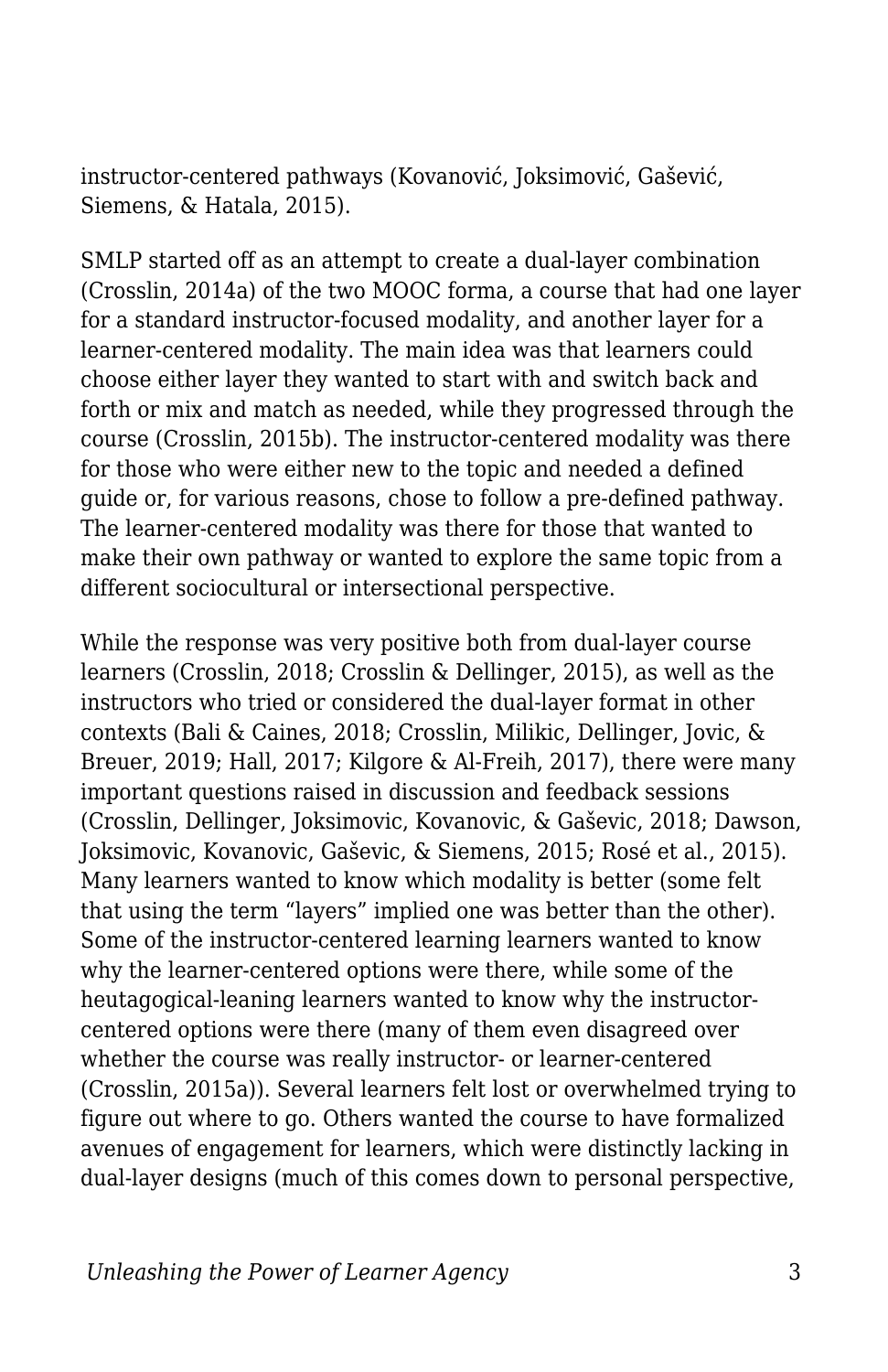instructor-centered pathways (Kovanović, Joksimović, Gašević, Siemens, & Hatala, 2015).

SMLP started off as an attempt to create a dual-layer combination (Crosslin, 2014a) of the two MOOC forma, a course that had one layer for a standard instructor-focused modality, and another layer for a learner-centered modality. The main idea was that learners could choose either layer they wanted to start with and switch back and forth or mix and match as needed, while they progressed through the course (Crosslin, 2015b). The instructor-centered modality was there for those who were either new to the topic and needed a defined guide or, for various reasons, chose to follow a pre-defined pathway. The learner-centered modality was there for those that wanted to make their own pathway or wanted to explore the same topic from a different sociocultural or intersectional perspective.

While the response was very positive both from dual-layer course learners (Crosslin, 2018; Crosslin & Dellinger, 2015), as well as the instructors who tried or considered the dual-layer format in other contexts (Bali & Caines, 2018; Crosslin, Milikic, Dellinger, Jovic, & Breuer, 2019; Hall, 2017; Kilgore & Al-Freih, 2017), there were many important questions raised in discussion and feedback sessions (Crosslin, Dellinger, Joksimovic, Kovanovic, & Gaševic, 2018; Dawson, Joksimovic, Kovanovic, Gaševic, & Siemens, 2015; Rosé et al., 2015). Many learners wanted to know which modality is better (some felt that using the term "layers" implied one was better than the other). Some of the instructor-centered learning learners wanted to know why the learner-centered options were there, while some of the heutagogical-leaning learners wanted to know why the instructorcentered options were there (many of them even disagreed over whether the course was really instructor- or learner-centered (Crosslin, 2015a)). Several learners felt lost or overwhelmed trying to figure out where to go. Others wanted the course to have formalized avenues of engagement for learners, which were distinctly lacking in dual-layer designs (much of this comes down to personal perspective,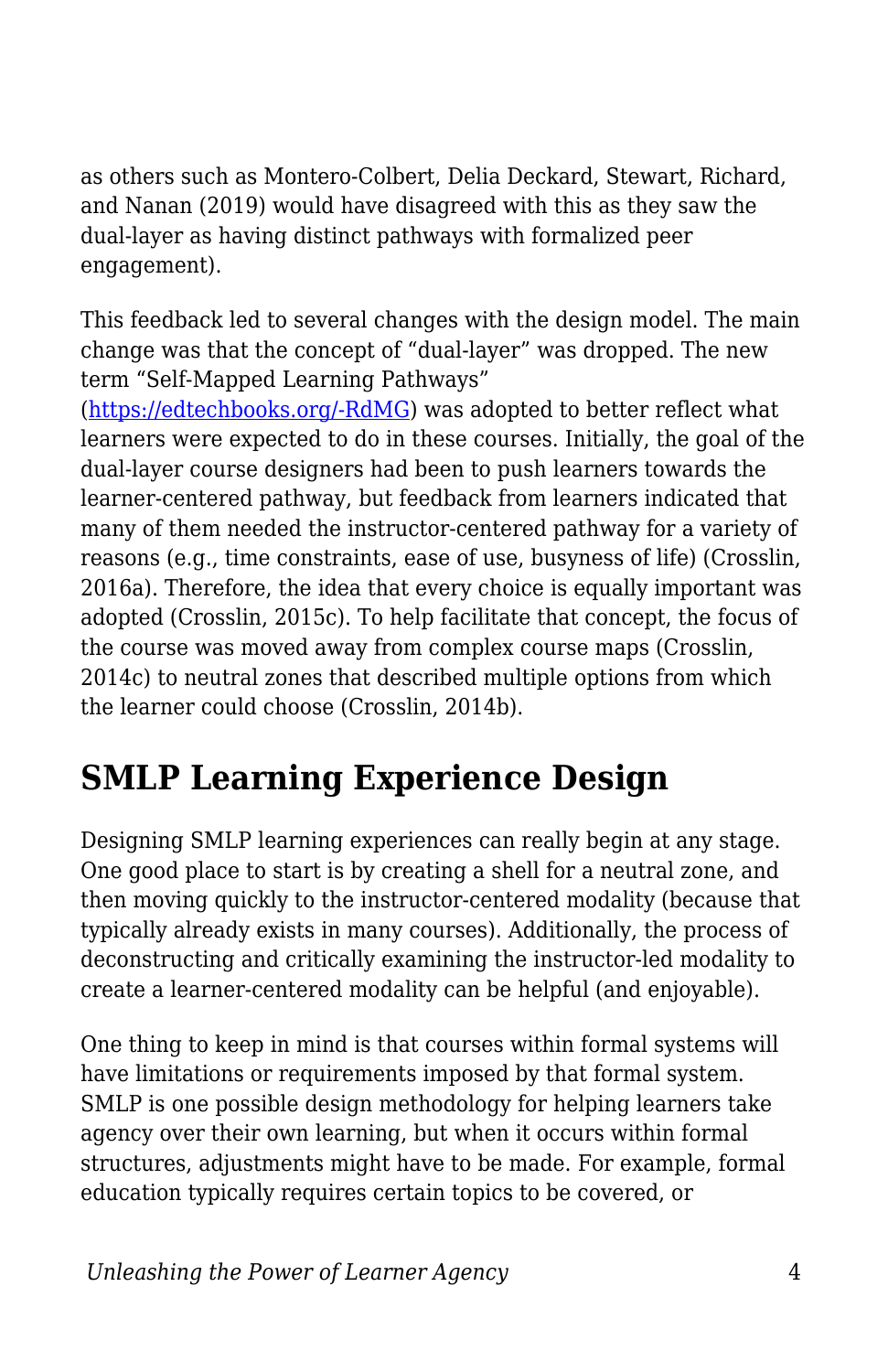as others such as Montero-Colbert, Delia Deckard, Stewart, Richard, and Nanan (2019) would have disagreed with this as they saw the dual-layer as having distinct pathways with formalized peer engagement).

This feedback led to several changes with the design model. The main change was that the concept of "dual-layer" was dropped. The new term "Self-Mapped Learning Pathways"

([https://edtechbooks.org/-RdMG\)](https://mattcrosslin.com/pathways/about/) was adopted to better reflect what learners were expected to do in these courses. Initially, the goal of the dual-layer course designers had been to push learners towards the learner-centered pathway, but feedback from learners indicated that many of them needed the instructor-centered pathway for a variety of reasons (e.g., time constraints, ease of use, busyness of life) (Crosslin, 2016a). Therefore, the idea that every choice is equally important was adopted (Crosslin, 2015c). To help facilitate that concept, the focus of the course was moved away from complex course maps (Crosslin, 2014c) to neutral zones that described multiple options from which the learner could choose (Crosslin, 2014b).

### **SMLP Learning Experience Design**

Designing SMLP learning experiences can really begin at any stage. One good place to start is by creating a shell for a neutral zone, and then moving quickly to the instructor-centered modality (because that typically already exists in many courses). Additionally, the process of deconstructing and critically examining the instructor-led modality to create a learner-centered modality can be helpful (and enjoyable).

One thing to keep in mind is that courses within formal systems will have limitations or requirements imposed by that formal system. SMLP is one possible design methodology for helping learners take agency over their own learning, but when it occurs within formal structures, adjustments might have to be made. For example, formal education typically requires certain topics to be covered, or

*Unleashing the Power of Learner Agency* 4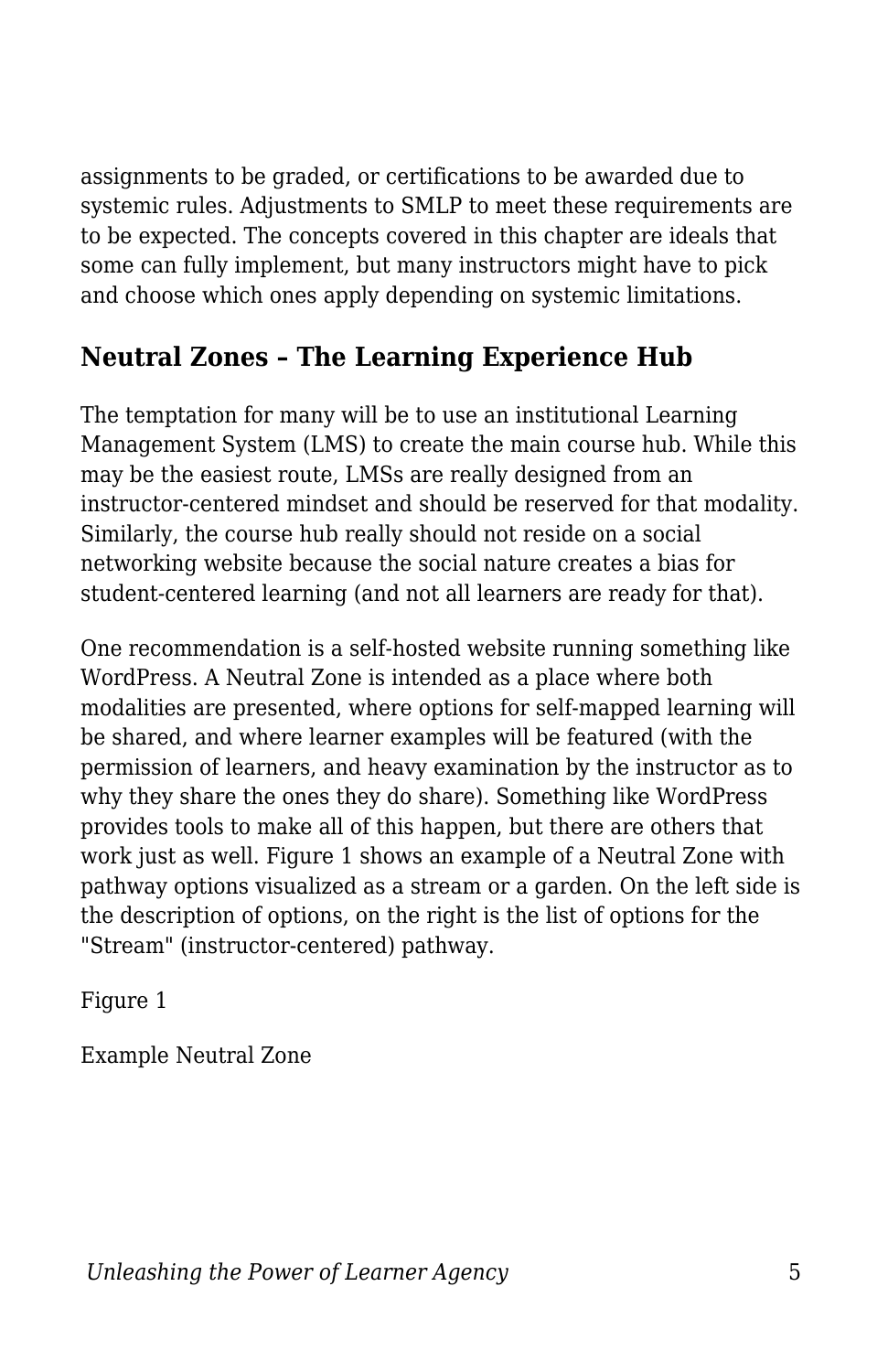assignments to be graded, or certifications to be awarded due to systemic rules. Adjustments to SMLP to meet these requirements are to be expected. The concepts covered in this chapter are ideals that some can fully implement, but many instructors might have to pick and choose which ones apply depending on systemic limitations.

#### **Neutral Zones – The Learning Experience Hub**

The temptation for many will be to use an institutional Learning Management System (LMS) to create the main course hub. While this may be the easiest route, LMSs are really designed from an instructor-centered mindset and should be reserved for that modality. Similarly, the course hub really should not reside on a social networking website because the social nature creates a bias for student-centered learning (and not all learners are ready for that).

One recommendation is a self-hosted website running something like WordPress. A Neutral Zone is intended as a place where both modalities are presented, where options for self-mapped learning will be shared, and where learner examples will be featured (with the permission of learners, and heavy examination by the instructor as to why they share the ones they do share). Something like WordPress provides tools to make all of this happen, but there are others that work just as well. Figure 1 shows an example of a Neutral Zone with pathway options visualized as a stream or a garden. On the left side is the description of options, on the right is the list of options for the "Stream" (instructor-centered) pathway.

Figure 1

Example Neutral Zone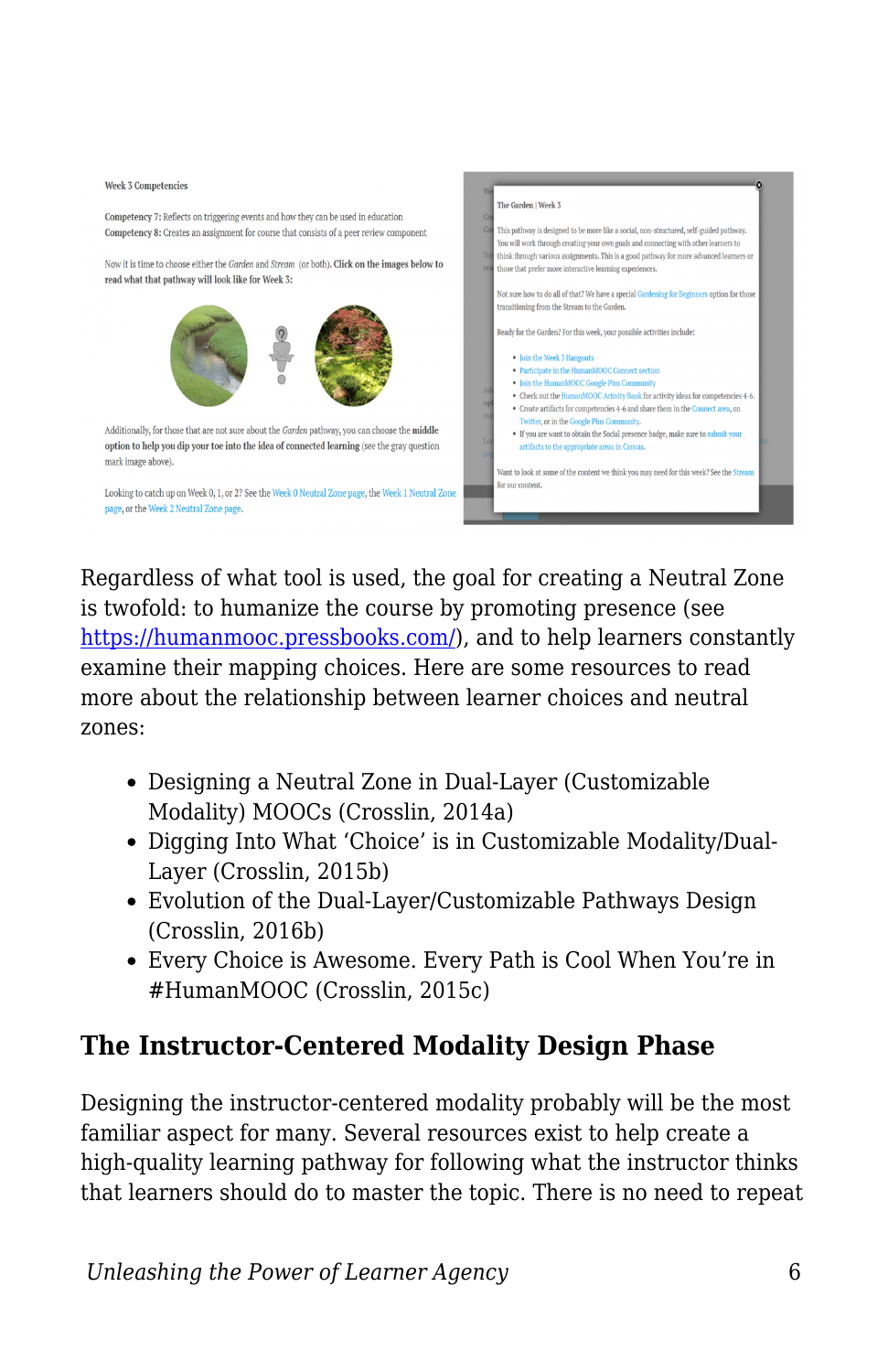

Regardless of what tool is used, the goal for creating a Neutral Zone is twofold: to humanize the course by promoting presence (see <https://humanmooc.pressbooks.com/>), and to help learners constantly examine their mapping choices. Here are some resources to read more about the relationship between learner choices and neutral zones:

- Designing a Neutral Zone in Dual-Layer (Customizable Modality) MOOCs (Crosslin, 2014a)
- Digging Into What 'Choice' is in Customizable Modality/Dual-Layer (Crosslin, 2015b)
- Evolution of the Dual-Layer/Customizable Pathways Design (Crosslin, 2016b)
- Every Choice is Awesome. Every Path is Cool When You're in #HumanMOOC (Crosslin, 2015c)

#### **The Instructor-Centered Modality Design Phase**

Designing the instructor-centered modality probably will be the most familiar aspect for many. Several resources exist to help create a high-quality learning pathway for following what the instructor thinks that learners should do to master the topic. There is no need to repeat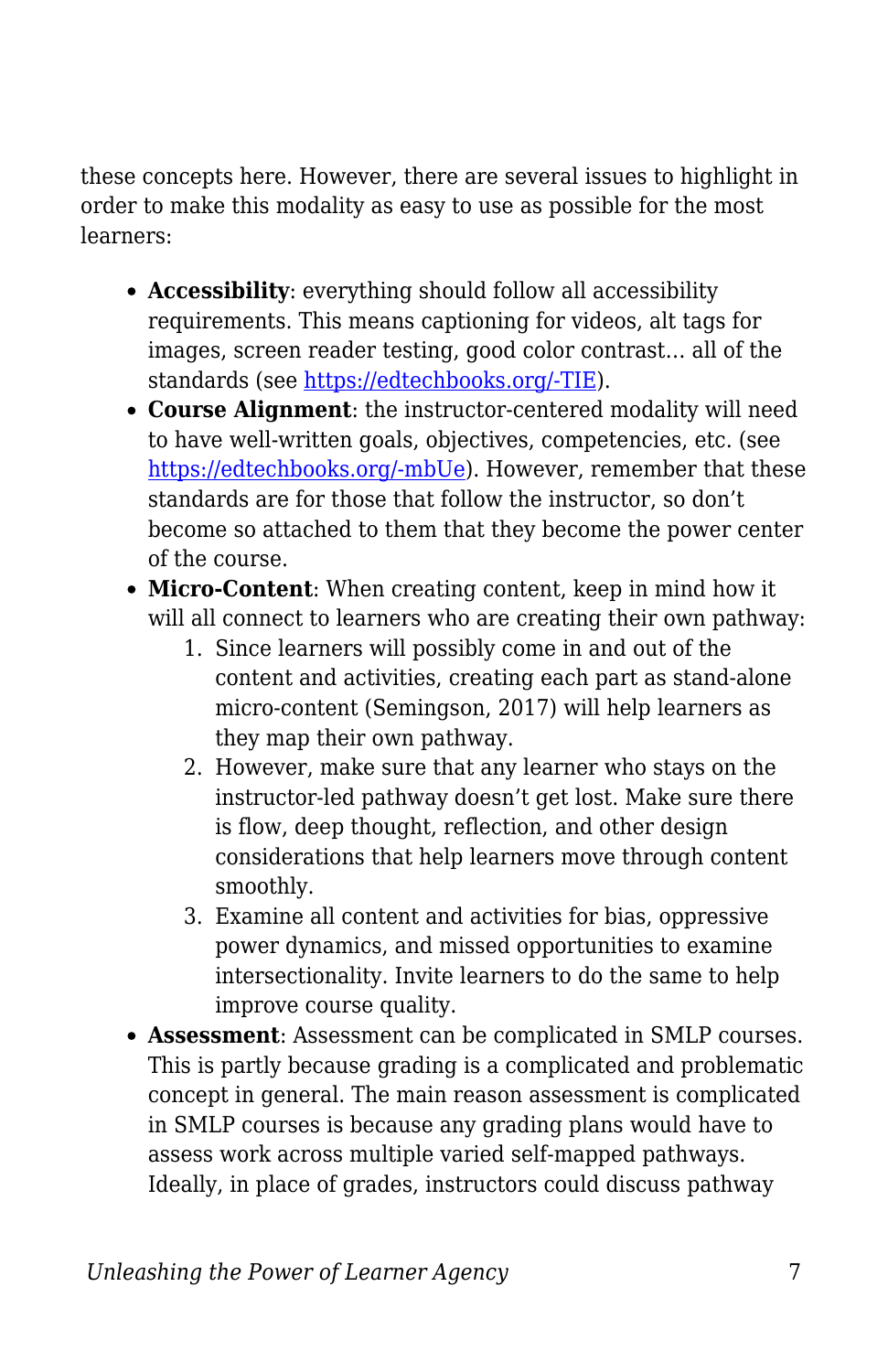these concepts here. However, there are several issues to highlight in order to make this modality as easy to use as possible for the most learners:

- **Accessibility**: everything should follow all accessibility requirements. This means captioning for videos, alt tags for images, screen reader testing, good color contrast… all of the standards (see [https://edtechbooks.org/-TIE](https://accessiblecampus.ca/tools-resources/educators-tool-kit/)).
- **Course Alignment**: the instructor-centered modality will need to have well-written goals, objectives, competencies, etc. (see [https://edtechbooks.org/-mbUe\)](https://bokcenter.harvard.edu/learning-goals-and-learning-objectives). However, remember that these standards are for those that follow the instructor, so don't become so attached to them that they become the power center of the course.
- **Micro-Content**: When creating content, keep in mind how it will all connect to learners who are creating their own pathway:
	- 1. Since learners will possibly come in and out of the content and activities, creating each part as stand-alone micro-content (Semingson, 2017) will help learners as they map their own pathway.
	- 2. However, make sure that any learner who stays on the instructor-led pathway doesn't get lost. Make sure there is flow, deep thought, reflection, and other design considerations that help learners move through content smoothly.
	- 3. Examine all content and activities for bias, oppressive power dynamics, and missed opportunities to examine intersectionality. Invite learners to do the same to help improve course quality.
- **Assessment**: Assessment can be complicated in SMLP courses. This is partly because grading is a complicated and problematic concept in general. The main reason assessment is complicated in SMLP courses is because any grading plans would have to assess work across multiple varied self-mapped pathways. Ideally, in place of grades, instructors could discuss pathway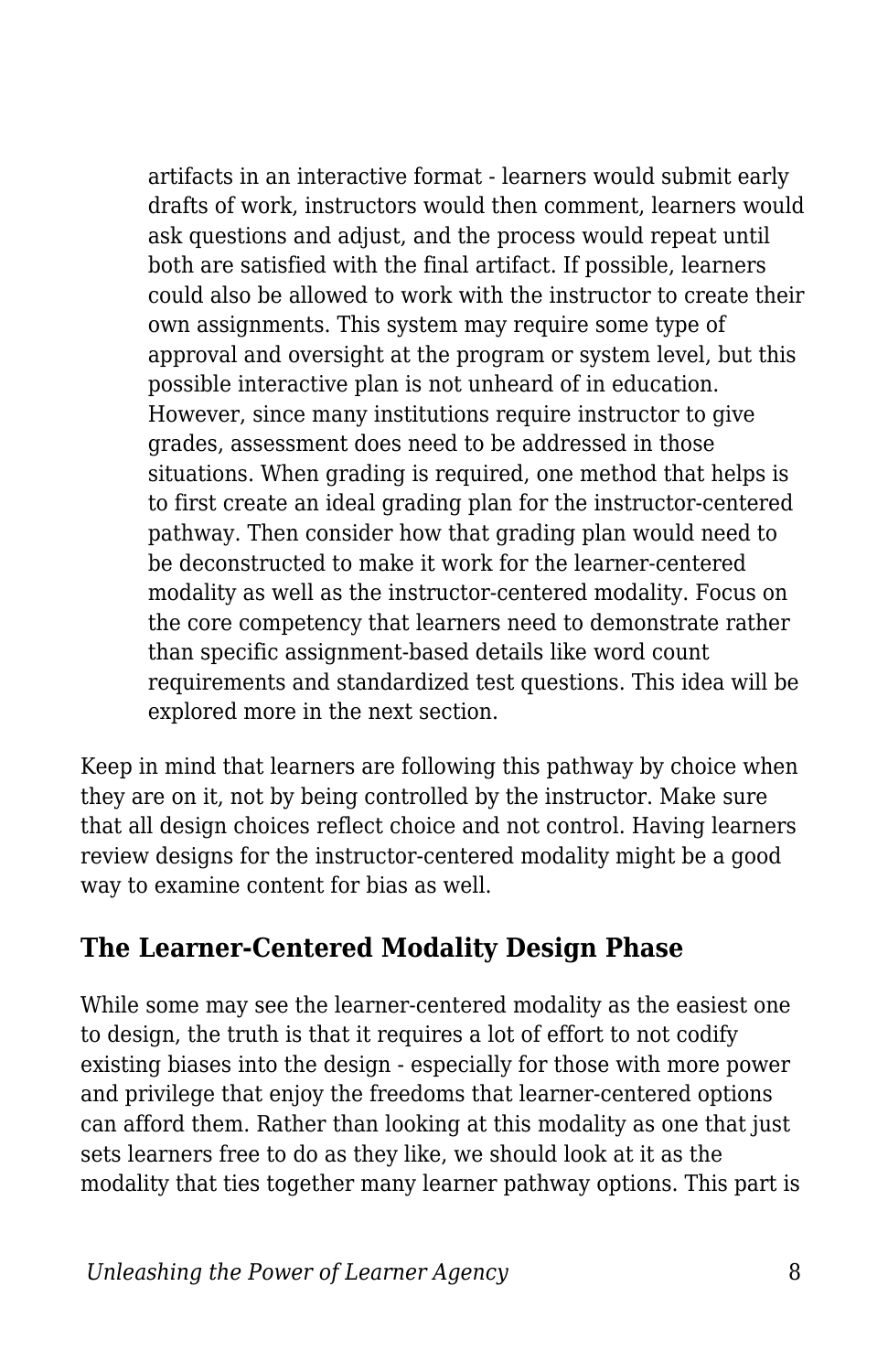artifacts in an interactive format - learners would submit early drafts of work, instructors would then comment, learners would ask questions and adjust, and the process would repeat until both are satisfied with the final artifact. If possible, learners could also be allowed to work with the instructor to create their own assignments. This system may require some type of approval and oversight at the program or system level, but this possible interactive plan is not unheard of in education. However, since many institutions require instructor to give grades, assessment does need to be addressed in those situations. When grading is required, one method that helps is to first create an ideal grading plan for the instructor-centered pathway. Then consider how that grading plan would need to be deconstructed to make it work for the learner-centered modality as well as the instructor-centered modality. Focus on the core competency that learners need to demonstrate rather than specific assignment-based details like word count requirements and standardized test questions. This idea will be explored more in the next section.

Keep in mind that learners are following this pathway by choice when they are on it, not by being controlled by the instructor. Make sure that all design choices reflect choice and not control. Having learners review designs for the instructor-centered modality might be a good way to examine content for bias as well.

#### **The Learner-Centered Modality Design Phase**

While some may see the learner-centered modality as the easiest one to design, the truth is that it requires a lot of effort to not codify existing biases into the design - especially for those with more power and privilege that enjoy the freedoms that learner-centered options can afford them. Rather than looking at this modality as one that just sets learners free to do as they like, we should look at it as the modality that ties together many learner pathway options. This part is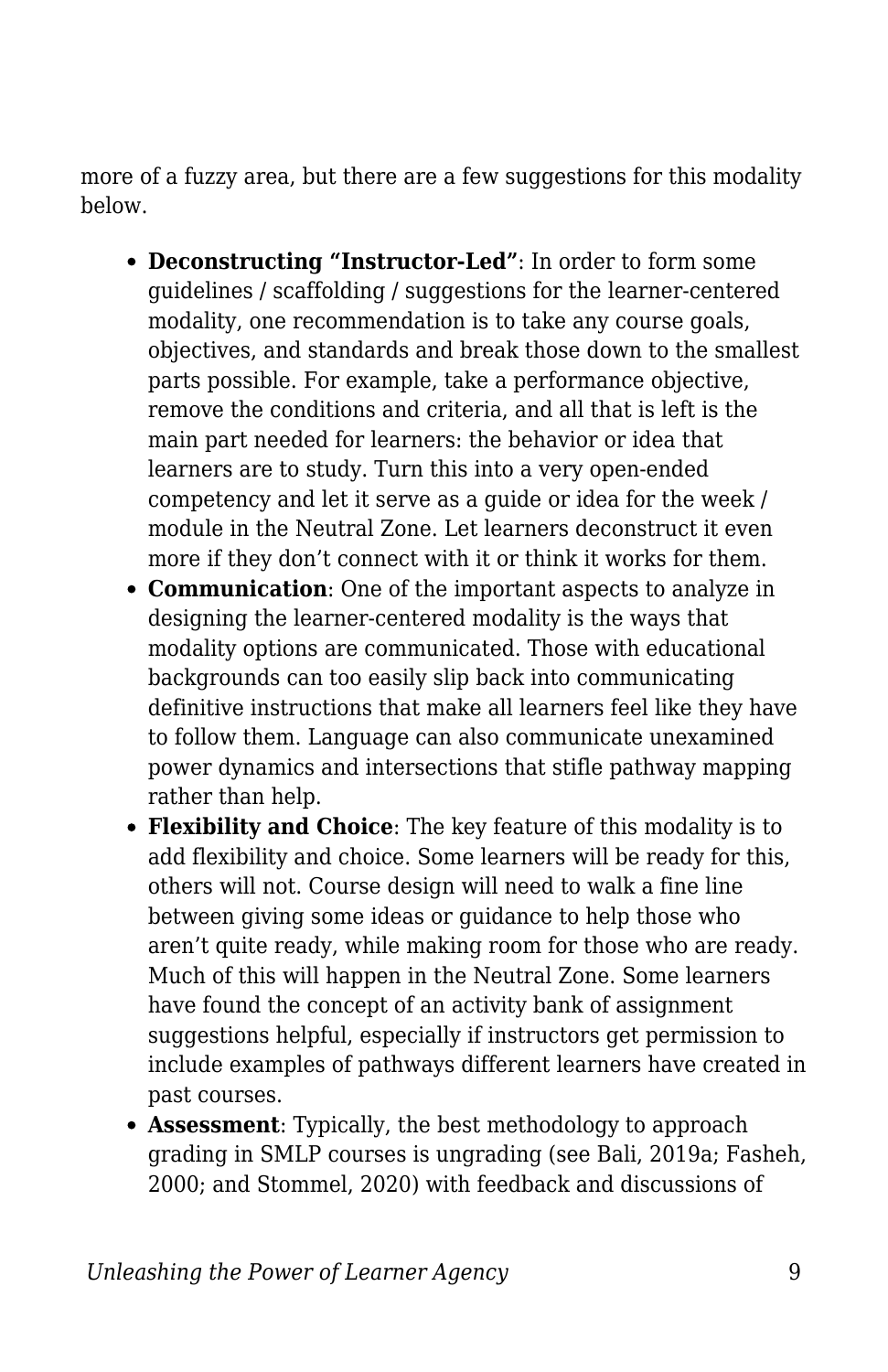more of a fuzzy area, but there are a few suggestions for this modality below.

- **Deconstructing "Instructor-Led"**: In order to form some guidelines / scaffolding / suggestions for the learner-centered modality, one recommendation is to take any course goals, objectives, and standards and break those down to the smallest parts possible. For example, take a performance objective, remove the conditions and criteria, and all that is left is the main part needed for learners: the behavior or idea that learners are to study. Turn this into a very open-ended competency and let it serve as a guide or idea for the week / module in the Neutral Zone. Let learners deconstruct it even more if they don't connect with it or think it works for them.
- **Communication**: One of the important aspects to analyze in designing the learner-centered modality is the ways that modality options are communicated. Those with educational backgrounds can too easily slip back into communicating definitive instructions that make all learners feel like they have to follow them. Language can also communicate unexamined power dynamics and intersections that stifle pathway mapping rather than help.
- **Flexibility and Choice**: The key feature of this modality is to add flexibility and choice. Some learners will be ready for this, others will not. Course design will need to walk a fine line between giving some ideas or guidance to help those who aren't quite ready, while making room for those who are ready. Much of this will happen in the Neutral Zone. Some learners have found the concept of an activity bank of assignment suggestions helpful, especially if instructors get permission to include examples of pathways different learners have created in past courses.
- **Assessment**: Typically, the best methodology to approach grading in SMLP courses is ungrading (see Bali, 2019a; Fasheh, 2000; and Stommel, 2020) with feedback and discussions of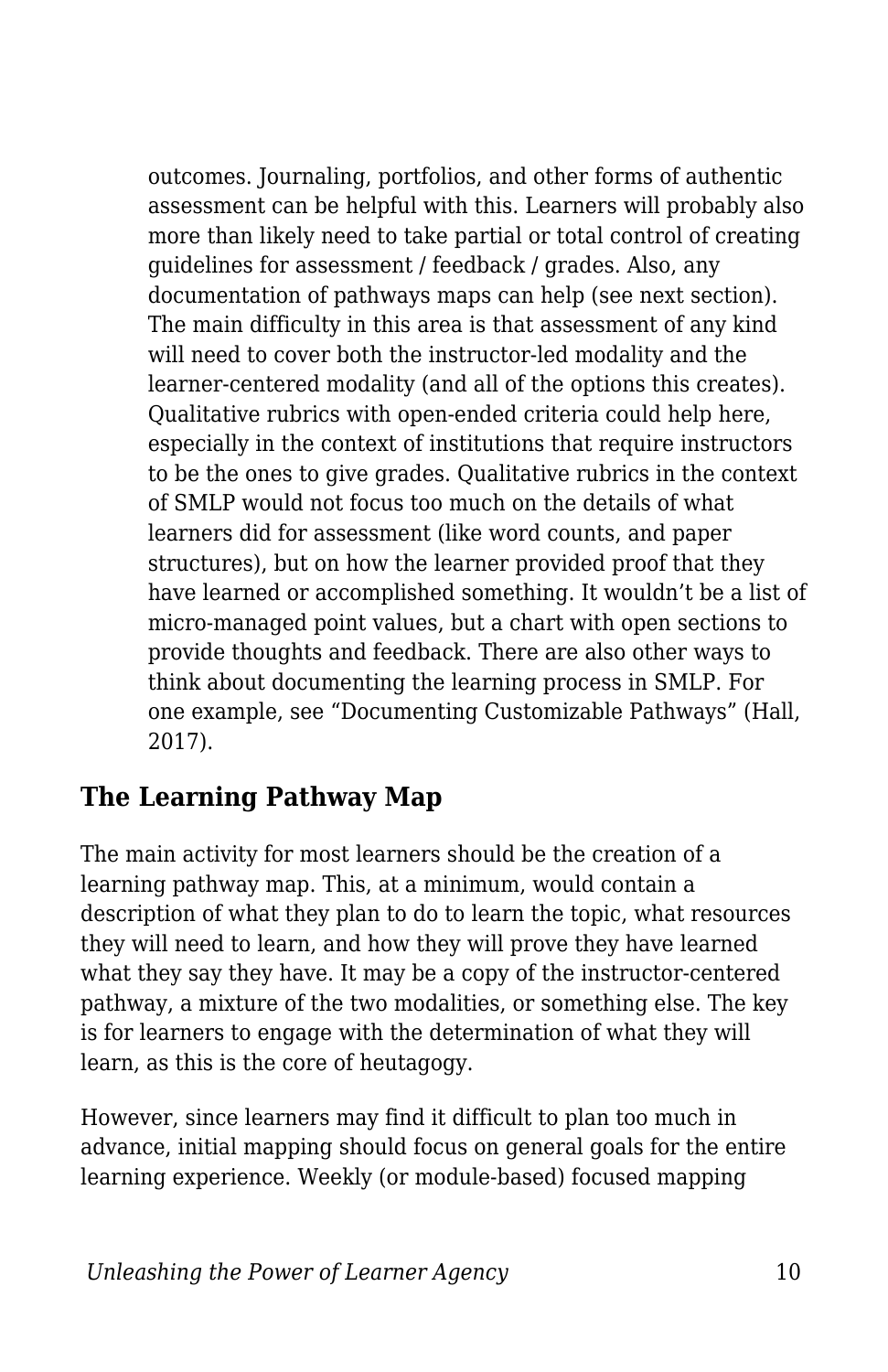outcomes. Journaling, portfolios, and other forms of authentic assessment can be helpful with this. Learners will probably also more than likely need to take partial or total control of creating guidelines for assessment / feedback / grades. Also, any documentation of pathways maps can help (see next section). The main difficulty in this area is that assessment of any kind will need to cover both the instructor-led modality and the learner-centered modality (and all of the options this creates). Qualitative rubrics with open-ended criteria could help here, especially in the context of institutions that require instructors to be the ones to give grades. Qualitative rubrics in the context of SMLP would not focus too much on the details of what learners did for assessment (like word counts, and paper structures), but on how the learner provided proof that they have learned or accomplished something. It wouldn't be a list of micro-managed point values, but a chart with open sections to provide thoughts and feedback. There are also other ways to think about documenting the learning process in SMLP. For one example, see "Documenting Customizable Pathways" (Hall, 2017).

#### **The Learning Pathway Map**

The main activity for most learners should be the creation of a learning pathway map. This, at a minimum, would contain a description of what they plan to do to learn the topic, what resources they will need to learn, and how they will prove they have learned what they say they have. It may be a copy of the instructor-centered pathway, a mixture of the two modalities, or something else. The key is for learners to engage with the determination of what they will learn, as this is the core of heutagogy.

However, since learners may find it difficult to plan too much in advance, initial mapping should focus on general goals for the entire learning experience. Weekly (or module-based) focused mapping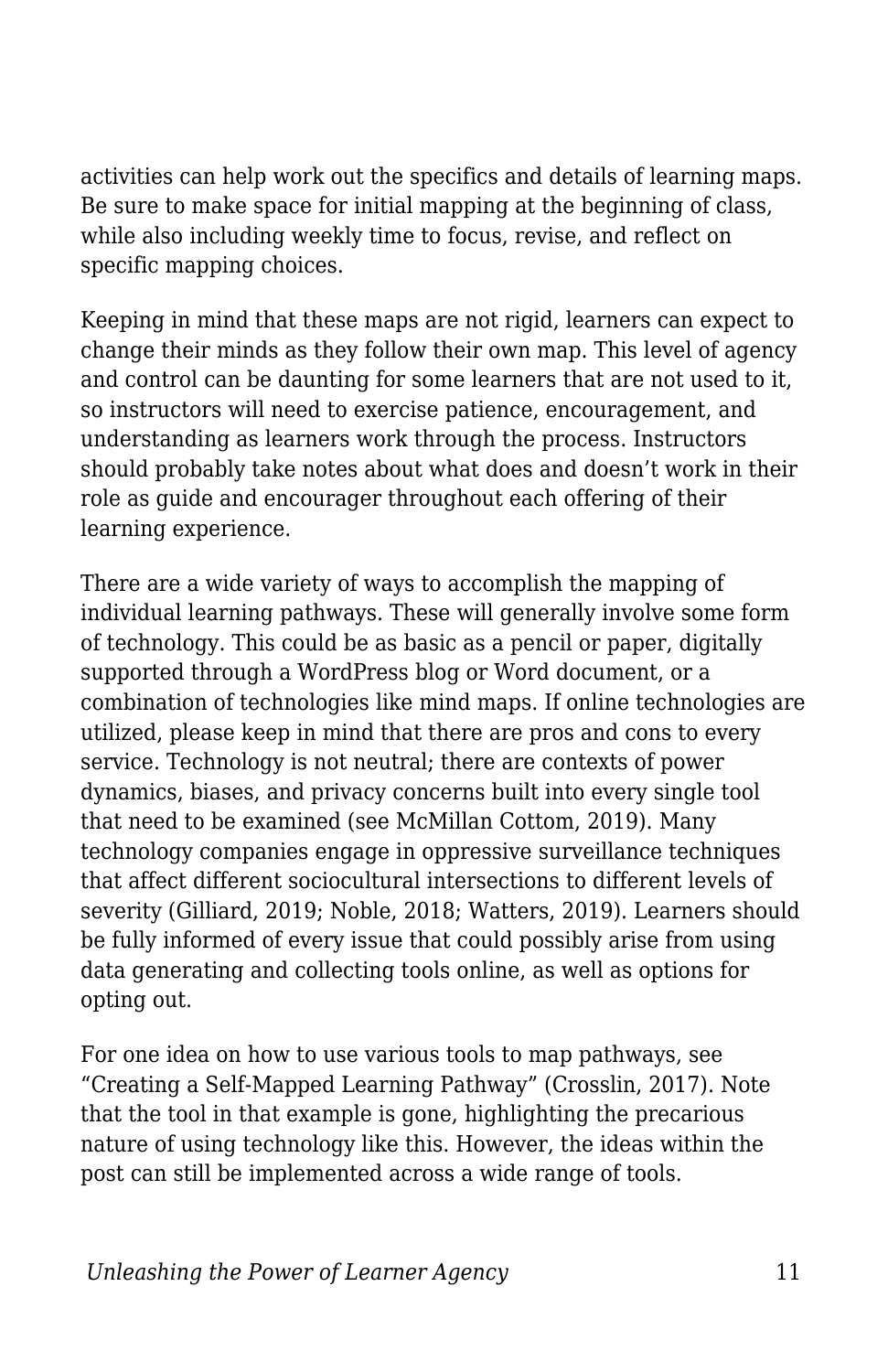activities can help work out the specifics and details of learning maps. Be sure to make space for initial mapping at the beginning of class, while also including weekly time to focus, revise, and reflect on specific mapping choices.

Keeping in mind that these maps are not rigid, learners can expect to change their minds as they follow their own map. This level of agency and control can be daunting for some learners that are not used to it, so instructors will need to exercise patience, encouragement, and understanding as learners work through the process. Instructors should probably take notes about what does and doesn't work in their role as guide and encourager throughout each offering of their learning experience.

There are a wide variety of ways to accomplish the mapping of individual learning pathways. These will generally involve some form of technology. This could be as basic as a pencil or paper, digitally supported through a WordPress blog or Word document, or a combination of technologies like mind maps. If online technologies are utilized, please keep in mind that there are pros and cons to every service. Technology is not neutral; there are contexts of power dynamics, biases, and privacy concerns built into every single tool that need to be examined (see McMillan Cottom, 2019). Many technology companies engage in oppressive surveillance techniques that affect different sociocultural intersections to different levels of severity (Gilliard, 2019; Noble, 2018; Watters, 2019). Learners should be fully informed of every issue that could possibly arise from using data generating and collecting tools online, as well as options for opting out.

For one idea on how to use various tools to map pathways, see "Creating a Self-Mapped Learning Pathway" (Crosslin, 2017). Note that the tool in that example is gone, highlighting the precarious nature of using technology like this. However, the ideas within the post can still be implemented across a wide range of tools.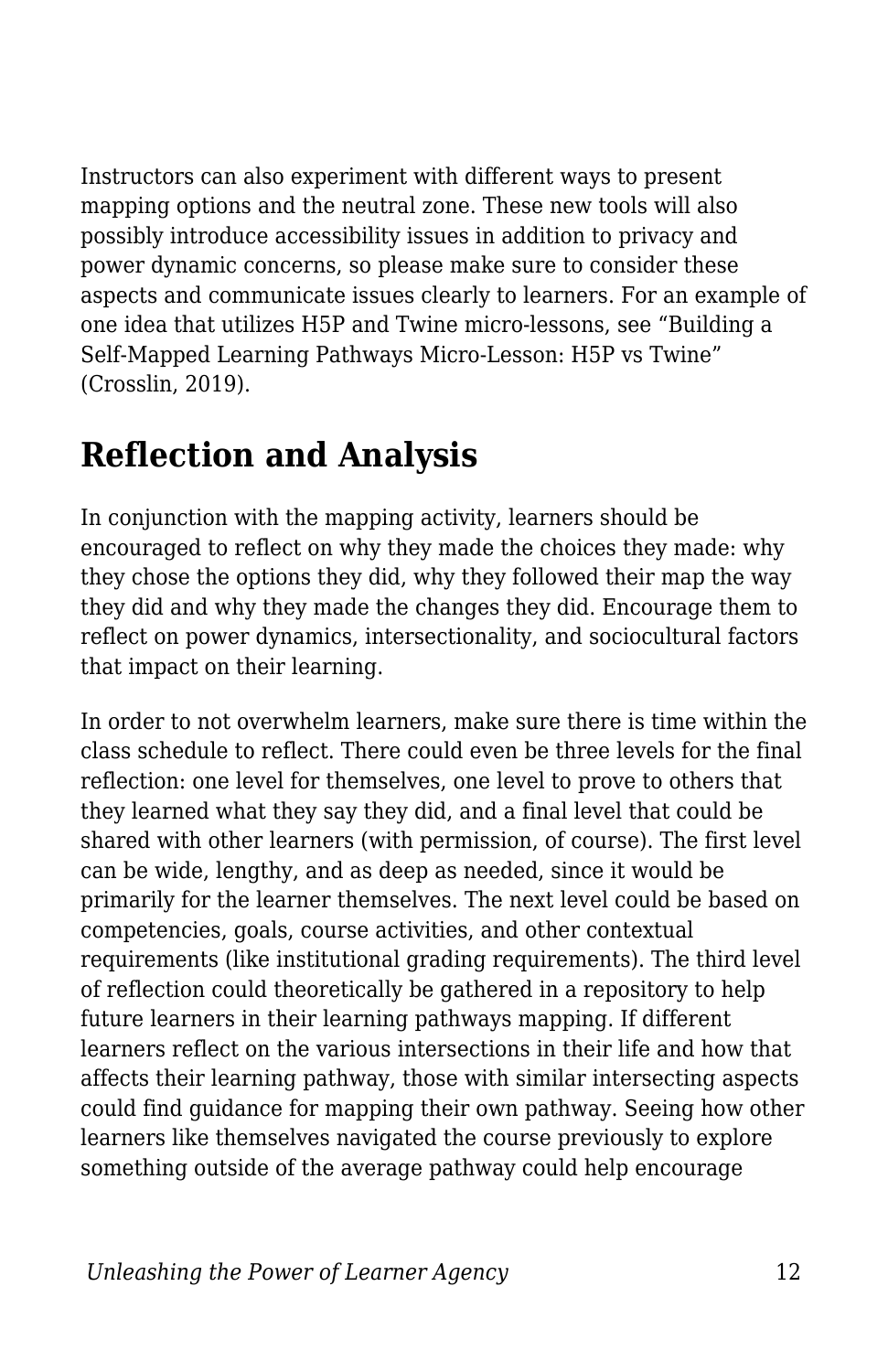Instructors can also experiment with different ways to present mapping options and the neutral zone. These new tools will also possibly introduce accessibility issues in addition to privacy and power dynamic concerns, so please make sure to consider these aspects and communicate issues clearly to learners. For an example of one idea that utilizes H5P and Twine micro-lessons, see "Building a Self-Mapped Learning Pathways Micro-Lesson: H5P vs Twine" (Crosslin, 2019).

### **Reflection and Analysis**

In conjunction with the mapping activity, learners should be encouraged to reflect on why they made the choices they made: why they chose the options they did, why they followed their map the way they did and why they made the changes they did. Encourage them to reflect on power dynamics, intersectionality, and sociocultural factors that impact on their learning.

In order to not overwhelm learners, make sure there is time within the class schedule to reflect. There could even be three levels for the final reflection: one level for themselves, one level to prove to others that they learned what they say they did, and a final level that could be shared with other learners (with permission, of course). The first level can be wide, lengthy, and as deep as needed, since it would be primarily for the learner themselves. The next level could be based on competencies, goals, course activities, and other contextual requirements (like institutional grading requirements). The third level of reflection could theoretically be gathered in a repository to help future learners in their learning pathways mapping. If different learners reflect on the various intersections in their life and how that affects their learning pathway, those with similar intersecting aspects could find guidance for mapping their own pathway. Seeing how other learners like themselves navigated the course previously to explore something outside of the average pathway could help encourage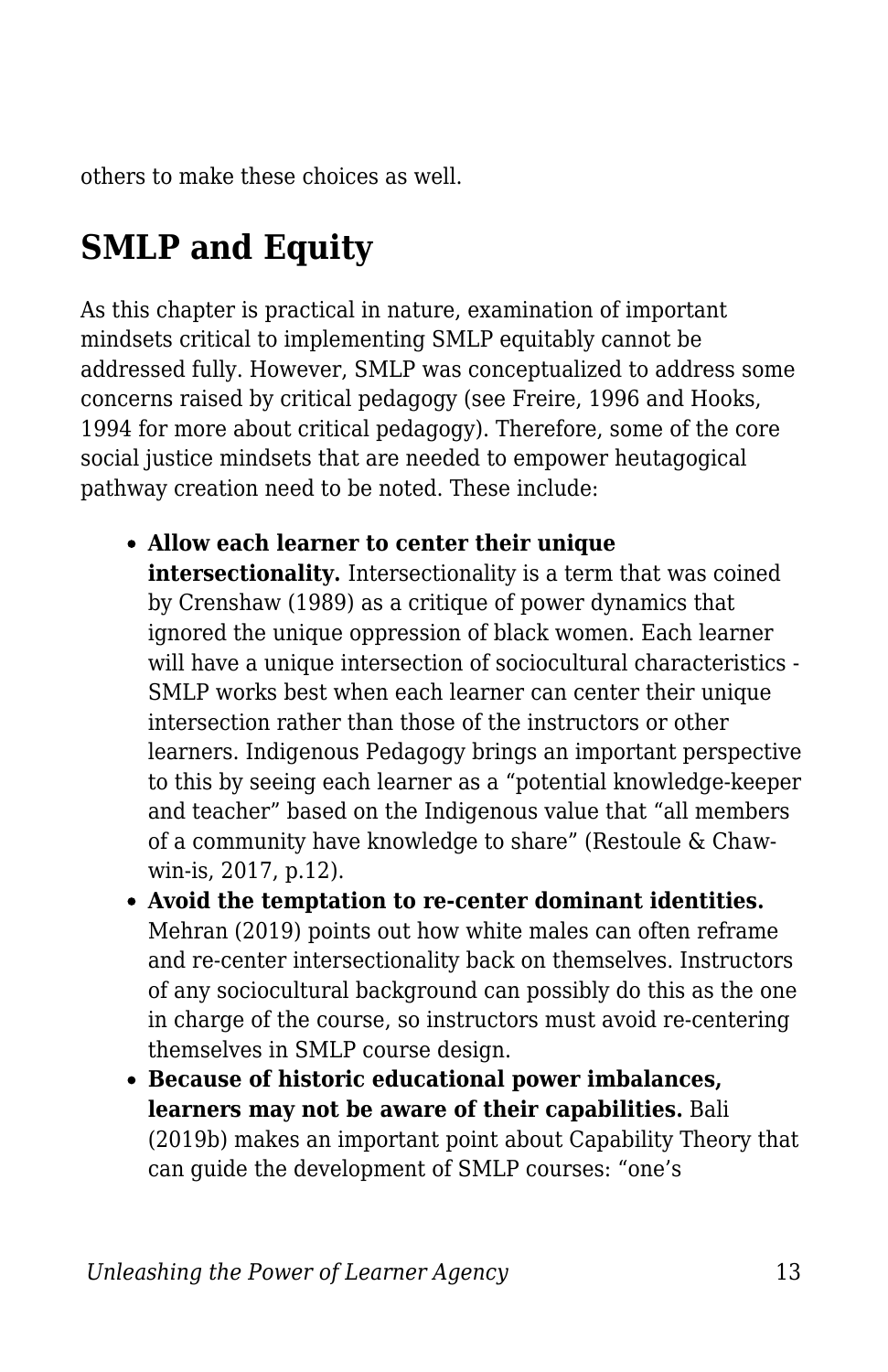others to make these choices as well.

### **SMLP and Equity**

As this chapter is practical in nature, examination of important mindsets critical to implementing SMLP equitably cannot be addressed fully. However, SMLP was conceptualized to address some concerns raised by critical pedagogy (see Freire, 1996 and Hooks, 1994 for more about critical pedagogy). Therefore, some of the core social justice mindsets that are needed to empower heutagogical pathway creation need to be noted. These include:

- **Allow each learner to center their unique intersectionality.** Intersectionality is a term that was coined by Crenshaw (1989) as a critique of power dynamics that ignored the unique oppression of black women. Each learner will have a unique intersection of sociocultural characteristics - SMLP works best when each learner can center their unique intersection rather than those of the instructors or other learners. Indigenous Pedagogy brings an important perspective to this by seeing each learner as a "potential knowledge-keeper and teacher" based on the Indigenous value that "all members of a community have knowledge to share" (Restoule & Chawwin-is, 2017, p.12).
- **Avoid the temptation to re-center dominant identities.** Mehran (2019) points out how white males can often reframe and re-center intersectionality back on themselves. Instructors of any sociocultural background can possibly do this as the one in charge of the course, so instructors must avoid re-centering themselves in SMLP course design.
- **Because of historic educational power imbalances, learners may not be aware of their capabilities.** Bali (2019b) makes an important point about Capability Theory that can guide the development of SMLP courses: "one's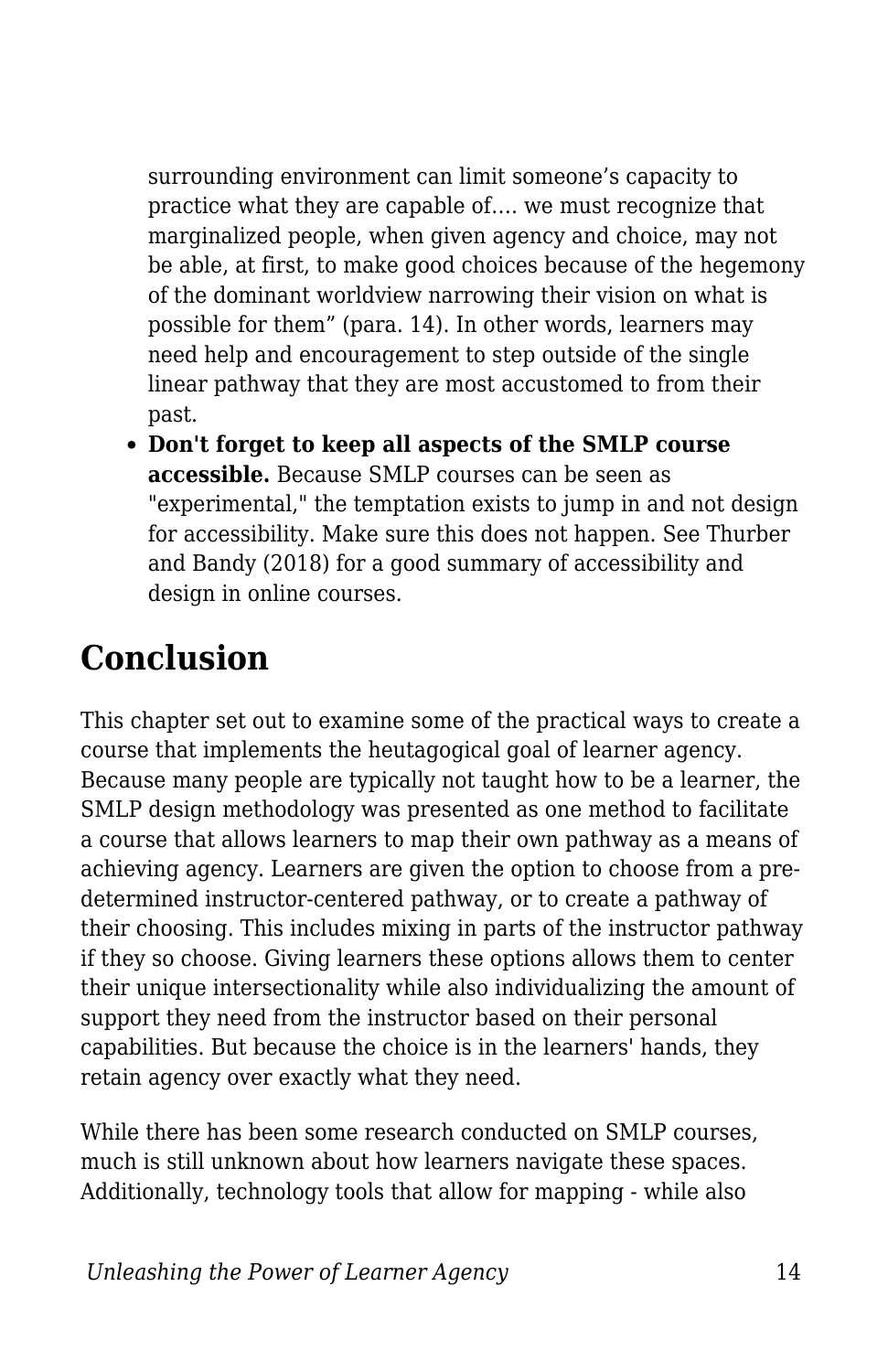surrounding environment can limit someone's capacity to practice what they are capable of…. we must recognize that marginalized people, when given agency and choice, may not be able, at first, to make good choices because of the hegemony of the dominant worldview narrowing their vision on what is possible for them" (para. 14). In other words, learners may need help and encouragement to step outside of the single linear pathway that they are most accustomed to from their past.

**Don't forget to keep all aspects of the SMLP course accessible.** Because SMLP courses can be seen as "experimental," the temptation exists to jump in and not design for accessibility. Make sure this does not happen. See Thurber and Bandy (2018) for a good summary of accessibility and design in online courses.

### **Conclusion**

This chapter set out to examine some of the practical ways to create a course that implements the heutagogical goal of learner agency. Because many people are typically not taught how to be a learner, the SMLP design methodology was presented as one method to facilitate a course that allows learners to map their own pathway as a means of achieving agency. Learners are given the option to choose from a predetermined instructor-centered pathway, or to create a pathway of their choosing. This includes mixing in parts of the instructor pathway if they so choose. Giving learners these options allows them to center their unique intersectionality while also individualizing the amount of support they need from the instructor based on their personal capabilities. But because the choice is in the learners' hands, they retain agency over exactly what they need.

While there has been some research conducted on SMLP courses, much is still unknown about how learners navigate these spaces. Additionally, technology tools that allow for mapping - while also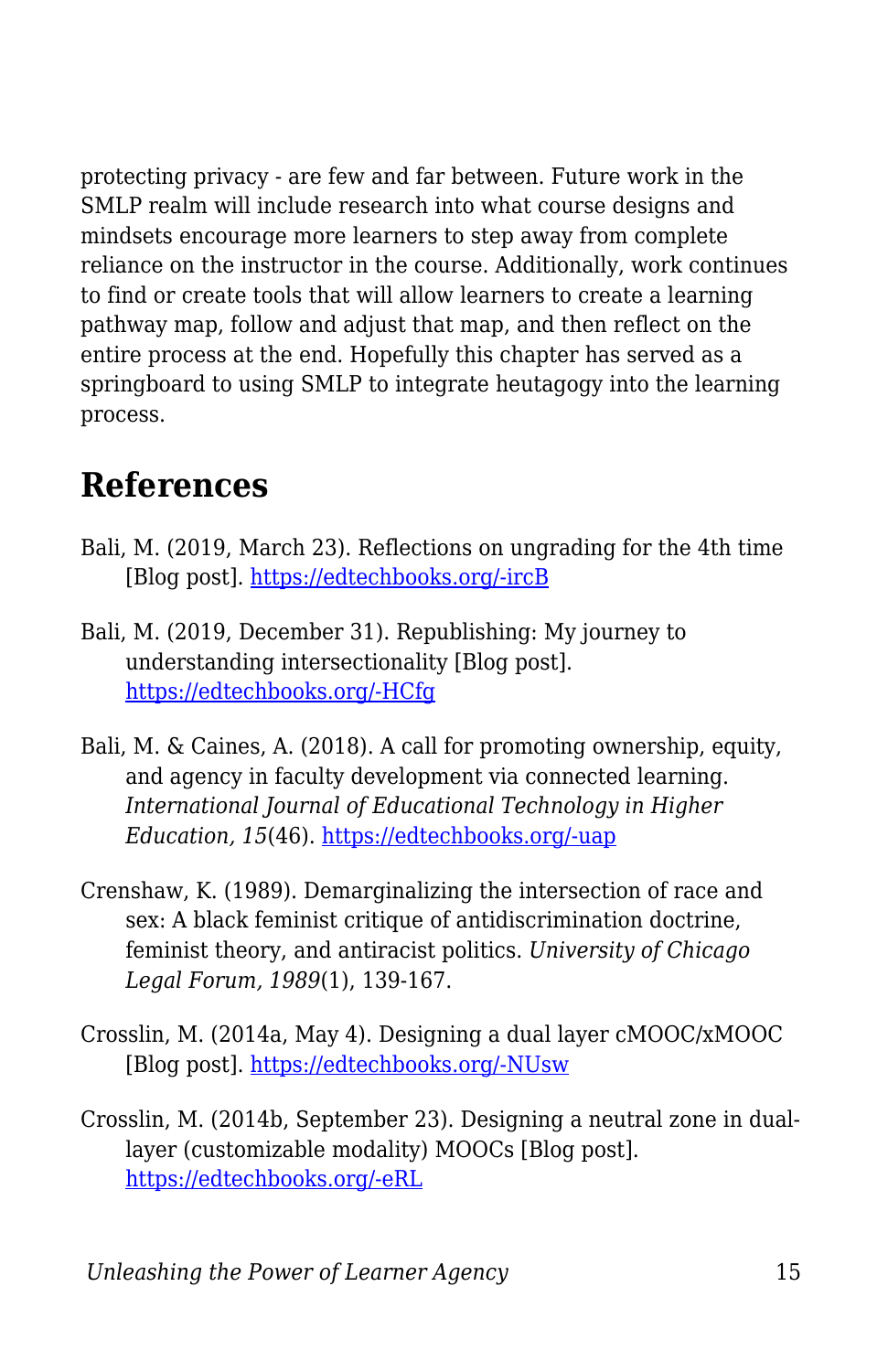protecting privacy - are few and far between. Future work in the SMLP realm will include research into what course designs and mindsets encourage more learners to step away from complete reliance on the instructor in the course. Additionally, work continues to find or create tools that will allow learners to create a learning pathway map, follow and adjust that map, and then reflect on the entire process at the end. Hopefully this chapter has served as a springboard to using SMLP to integrate heutagogy into the learning process.

### **References**

- Bali, M. (2019, March 23). Reflections on ungrading for the 4th time [Blog post]. [https://edtechbooks.org/-ircB](https://blog.mahabali.me/pedagogy/reflections-on-ungrading-for-the-4th-time/)
- Bali, M. (2019, December 31). Republishing: My journey to understanding intersectionality [Blog post]. [https://edtechbooks.org/-HCfg](https://blog.mahabali.me/pedagogy/critical-pedagogy/republishing-my-journey-to-understandingintersectionality/)
- Bali, M. & Caines, A. (2018). A call for promoting ownership, equity, and agency in faculty development via connected learning. *International Journal of Educational Technology in Higher Education, 15*(46). [https://edtechbooks.org/-uap](https://doi.org/10.1186/s41239-018-0128-8)
- Crenshaw, K. (1989). Demarginalizing the intersection of race and sex: A black feminist critique of antidiscrimination doctrine, feminist theory, and antiracist politics. *University of Chicago Legal Forum, 1989*(1), 139-167.
- Crosslin, M. (2014a, May 4). Designing a dual layer cMOOC/xMOOC [Blog post]. [https://edtechbooks.org/-NUsw](https://www.edugeekjournal.com/2014/05/04/designing-a-dual-layer-cmoocxmooc/)
- Crosslin, M. (2014b, September 23). Designing a neutral zone in duallayer (customizable modality) MOOCs [Blog post]. [https://edtechbooks.org/-eRL](https://www.edugeekjournal.com/2015/09/23/designing-a-neutral-zone-in-dual-layer-customizable-moldality-moocs/)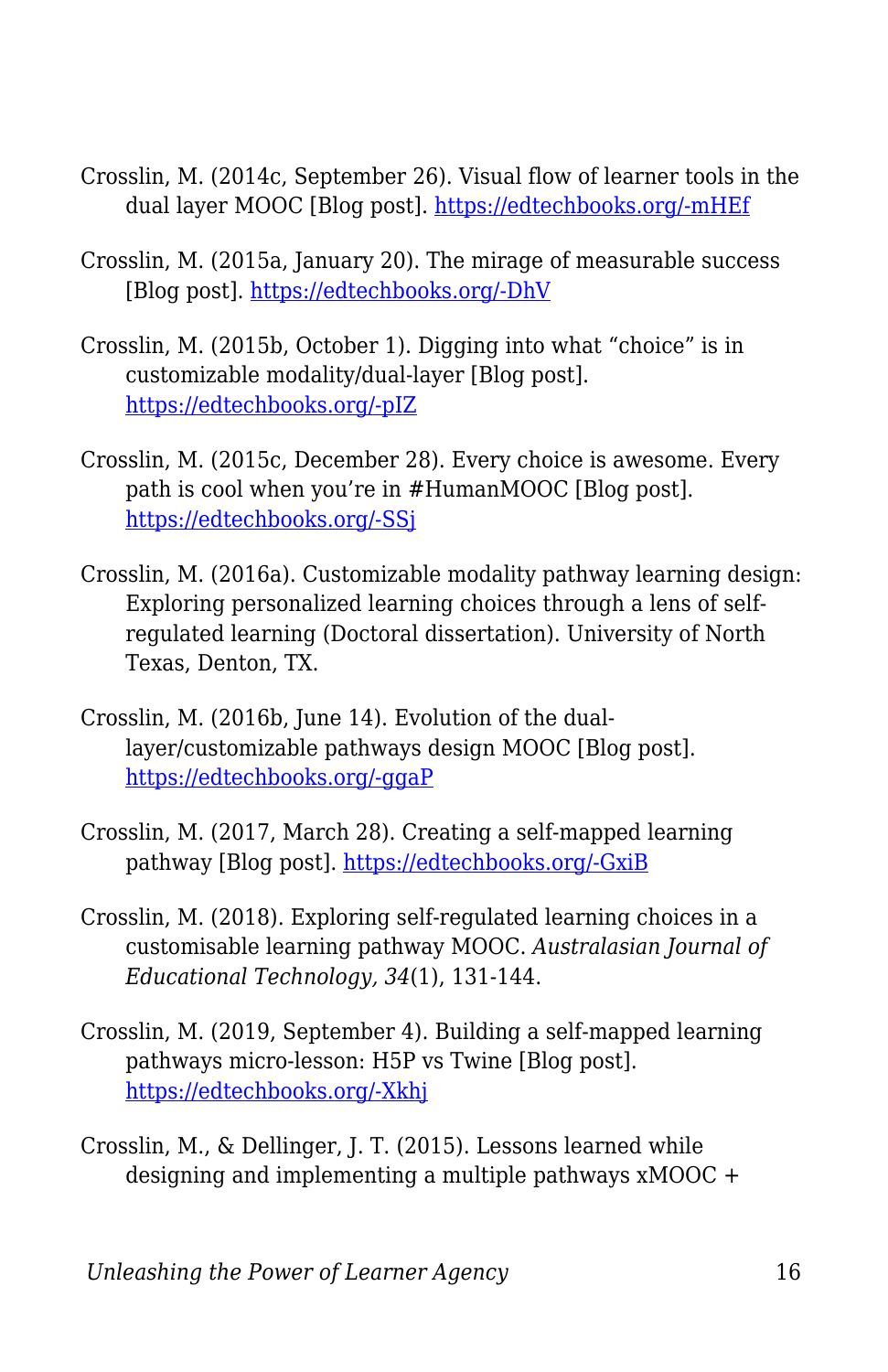- Crosslin, M. (2014c, September 26). Visual flow of learner tools in the dual layer MOOC [Blog post]. [https://edtechbooks.org/-mHEf](https://www.edugeekjournal.com/2014/09/26/visual-flow-of-learner-tools-in-the-dual-layer-mooc/)
- Crosslin, M. (2015a, January 20). The mirage of measurable success [Blog post]. [https://edtechbooks.org/-DhV](https://www.edugeekjournal.com/2015/01/20/the-mirage-of-measurable-success/)
- Crosslin, M. (2015b, October 1). Digging into what "choice" is in customizable modality/dual-layer [Blog post]. [https://edtechbooks.org/-pIZ](https://www.edugeekjournal.com/2015/10/01/digging-into-what-choice-is-in-customizable-modalitydual-layer/)
- Crosslin, M. (2015c, December 28). Every choice is awesome. Every path is cool when you're in #HumanMOOC [Blog post]. [https://edtechbooks.org/-SSj](https://www.edugeekjournal.com/2015/12/28/every-choice-is-awesome-every-path-is-cool-when-youre-in-humanmooc/)
- Crosslin, M. (2016a). Customizable modality pathway learning design: Exploring personalized learning choices through a lens of selfregulated learning (Doctoral dissertation). University of North Texas, Denton, TX.
- Crosslin, M. (2016b, June 14). Evolution of the duallayer/customizable pathways design MOOC [Blog post]. [https://edtechbooks.org/-ggaP](https://www.edugeekjournal.com/2016/06/14/evolution-of-the-dual-layercustomizable-pathways-design/)
- Crosslin, M. (2017, March 28). Creating a self-mapped learning pathway [Blog post]. [https://edtechbooks.org/-GxiB](https://www.edugeekjournal.com/2017/03/28/creating-a-self-mapped-learning-pathway/)
- Crosslin, M. (2018). Exploring self-regulated learning choices in a customisable learning pathway MOOC. *Australasian Journal of Educational Technology, 34*(1), 131-144.
- Crosslin, M. (2019, September 4). Building a self-mapped learning pathways micro-lesson: H5P vs Twine [Blog post]. [https://edtechbooks.org/-Xkhj](https://www.edugeekjournal.com/2019/09/04/building-a-self-mapped-learning-pathways-micro-lesson-h5p-vs-twine/)
- Crosslin, M., & Dellinger, J. T. (2015). Lessons learned while designing and implementing a multiple pathways xMOOC +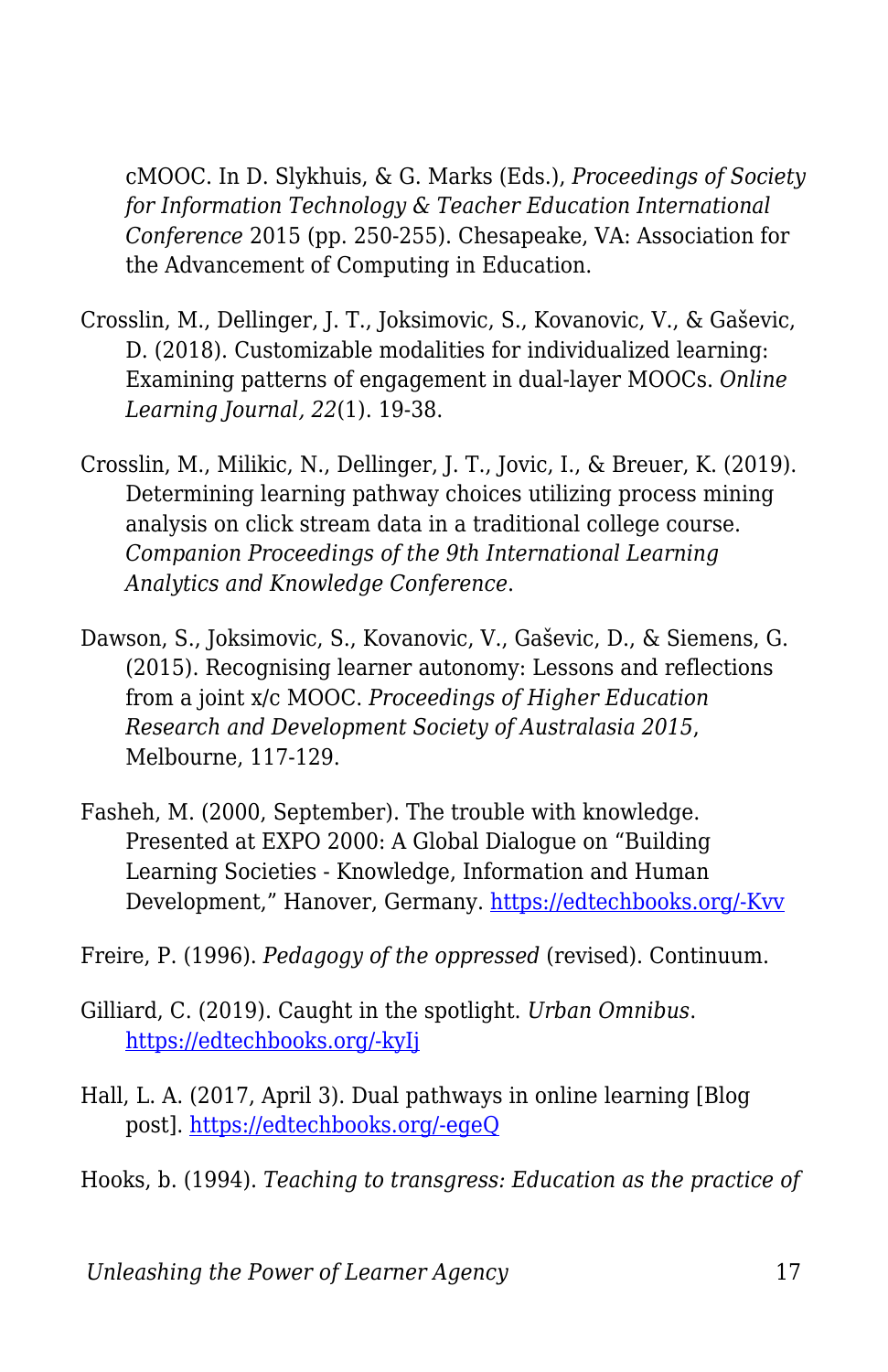cMOOC. In D. Slykhuis, & G. Marks (Eds.), *Proceedings of Society for Information Technology & Teacher Education International Conference* 2015 (pp. 250-255). Chesapeake, VA: Association for the Advancement of Computing in Education.

- Crosslin, M., Dellinger, J. T., Joksimovic, S., Kovanovic, V., & Gaševic, D. (2018). Customizable modalities for individualized learning: Examining patterns of engagement in dual-layer MOOCs. *Online Learning Journal, 22*(1). 19-38.
- Crosslin, M., Milikic, N., Dellinger, J. T., Jovic, I., & Breuer, K. (2019). Determining learning pathway choices utilizing process mining analysis on click stream data in a traditional college course. *Companion Proceedings of the 9th International Learning Analytics and Knowledge Conference*.
- Dawson, S., Joksimovic, S., Kovanovic, V., Gaševic, D., & Siemens, G. (2015). Recognising learner autonomy: Lessons and reflections from a joint x/c MOOC. *Proceedings of Higher Education Research and Development Society of Australasia 2015*, Melbourne, 117-129.
- Fasheh, M. (2000, September). The trouble with knowledge. Presented at EXPO 2000: A Global Dialogue on "Building Learning Societies - Knowledge, Information and Human Development," Hanover, Germany. [https://edtechbooks.org/-Kvv](http://www.swaraj.org/shikshantar/resources_fasheh.html)
- Freire, P. (1996). *Pedagogy of the oppressed* (revised). Continuum.
- Gilliard, C. (2019). Caught in the spotlight. *Urban Omnibus*. [https://edtechbooks.org/-kyIj](https://urbanomnibus.net/2020/01/caught-in-the-spotlight/)
- Hall, L. A. (2017, April 3). Dual pathways in online learning [Blog post]. [https://edtechbooks.org/-egeQ](http://teachingacademia.com/index.php/2017/04/03/dual-pathways-in-online-learning/)
- Hooks, b. (1994). *Teaching to transgress: Education as the practice of*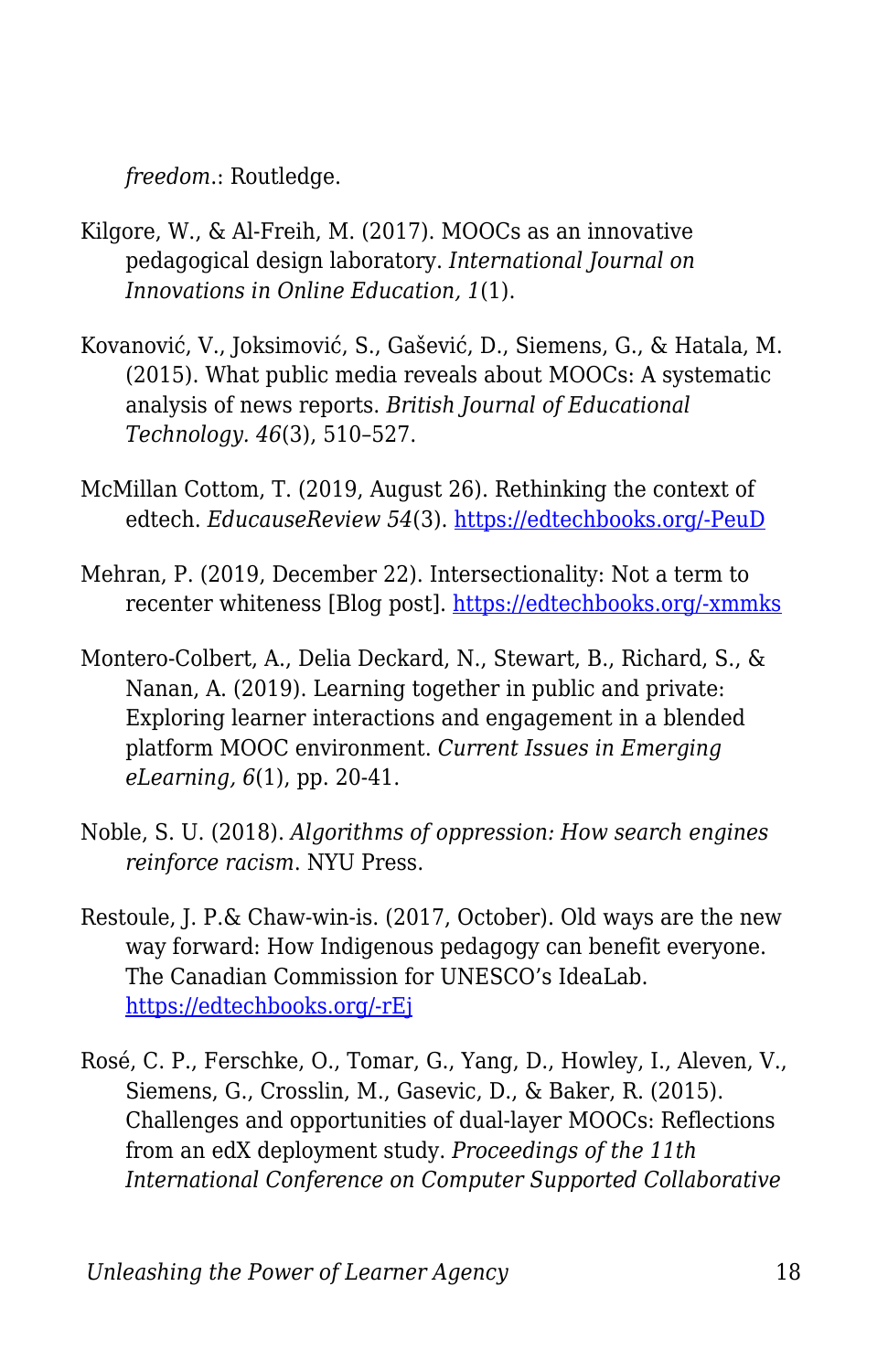*freedom*.: Routledge.

- Kilgore, W., & Al-Freih, M. (2017). MOOCs as an innovative pedagogical design laboratory. *International Journal on Innovations in Online Education, 1*(1).
- Kovanović, V., Joksimović, S., Gašević, D., Siemens, G., & Hatala, M. (2015). What public media reveals about MOOCs: A systematic analysis of news reports. *British Journal of Educational Technology. 46*(3), 510–527.
- McMillan Cottom, T. (2019, August 26). Rethinking the context of edtech. *EducauseReview 54*(3). [https://edtechbooks.org/-PeuD](https://er.educause.edu/articles/2019/8/rethinking-the-context-of-edtech)
- Mehran, P. (2019, December 22). Intersectionality: Not a term to recenter whiteness [Blog post]. [https://edtechbooks.org/-xmmks](https://womenofcolorinelt.wordpress.com/2019/12/22/intersectionality-not-a-term-to-recenter-whiteness/)
- Montero-Colbert, A., Delia Deckard, N., Stewart, B., Richard, S., & Nanan, A. (2019). Learning together in public and private: Exploring learner interactions and engagement in a blended platform MOOC environment. *Current Issues in Emerging eLearning, 6*(1), pp. 20-41.
- Noble, S. U. (2018). *Algorithms of oppression: How search engines reinforce racism*. NYU Press.
- Restoule, J. P.& Chaw-win-is. (2017, October). Old ways are the new way forward: How Indigenous pedagogy can benefit everyone. The Canadian Commission for UNESCO's IdeaLab. [https://edtechbooks.org/-rEj](https://en.ccunesco.ca/-/media/Files/Unesco/OurThemes/EncouragingInnovation/20171026_Old-ways-are-the-new-way-forward_How-Indigenous-pedagogy-can-benefit-everyone_FINAL.pdf)
- Rosé, C. P., Ferschke, O., Tomar, G., Yang, D., Howley, I., Aleven, V., Siemens, G., Crosslin, M., Gasevic, D., & Baker, R. (2015). Challenges and opportunities of dual-layer MOOCs: Reflections from an edX deployment study. *Proceedings of the 11th International Conference on Computer Supported Collaborative*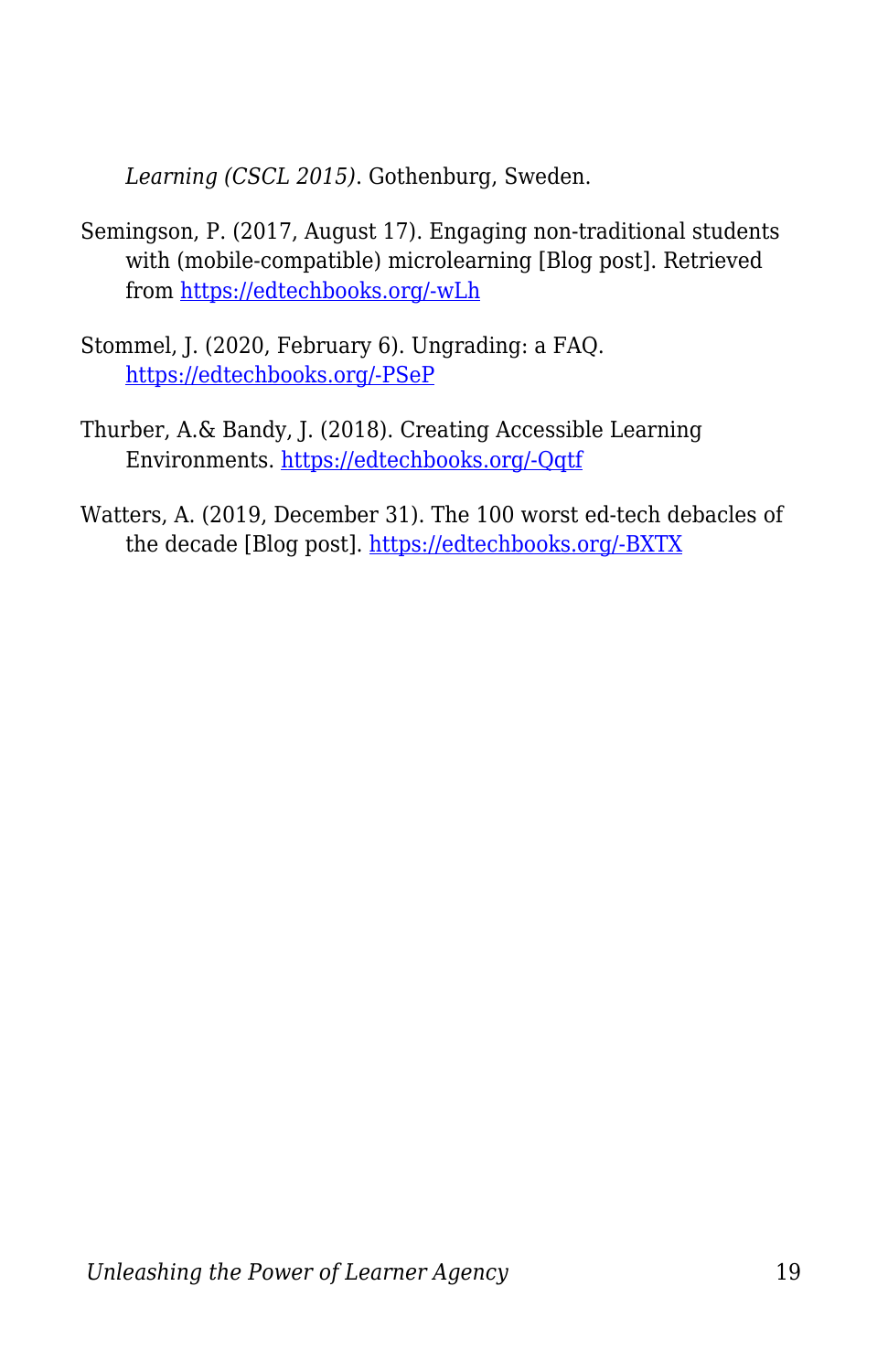*Learning (CSCL 2015)*. Gothenburg, Sweden.

- Semingson, P. (2017, August 17). Engaging non-traditional students with (mobile-compatible) microlearning [Blog post]. Retrieved from [https://edtechbooks.org/-wLh](https://evolllution.com/programming/teaching-and-learning/engaging-non-traditional-students-with-mobile-compatible-microlearning/)
- Stommel, J. (2020, February 6). Ungrading: a FAQ. [https://edtechbooks.org/-PSeP](https://www.jessestommel.com/ungrading-an-faq/)
- Thurber, A.& Bandy, J. (2018). Creating Accessible Learning Environments. [https://edtechbooks.org/-Qqtf](http://cft.vanderbilt.edu/guides-sub-pages/creating-accessible-learning-environments/)
- Watters, A. (2019, December 31). The 100 worst ed-tech debacles of the decade [Blog post]. [https://edtechbooks.org/-BXTX](http://hackeducation.com/2019/12/31/what-a-shitshow)